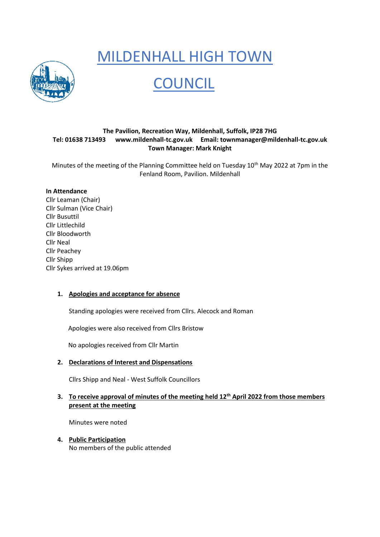# MILDENHALL HIGH TOWN



# **COUNCIL**

# **The Pavilion, Recreation Way, Mildenhall, Suffolk, IP28 7HG Tel: 01638 713493 [www.mildenhall-tc.gov.uk](http://www.mildenhall-tc.gov.uk/) Email: [townmanager@mildenhall-tc.gov.uk](mailto:townmanager@mildenhall-tc.gov.uk) Town Manager: Mark Knight**

Minutes of the meeting of the Planning Committee held on Tuesday 10<sup>th</sup> May 2022 at 7pm in the Fenland Room, Pavilion. Mildenhall

### **In Attendance**

Cllr Leaman (Chair) Cllr Sulman (Vice Chair) Cllr Busuttil Cllr Littlechild Cllr Bloodworth Cllr Neal Cllr Peachey Cllr Shipp Cllr Sykes arrived at 19.06pm

# **1. Apologies and acceptance for absence**

Standing apologies were received from Cllrs. Alecock and Roman

Apologies were also received from Cllrs Bristow

No apologies received from Cllr Martin

# **2. Declarations of Interest and Dispensations**

Cllrs Shipp and Neal - West Suffolk Councillors

# **3. To receive approval of minutes of the meeting held 12th April 2022 from those members present at the meeting**

Minutes were noted

**4. Public Participation** 

No members of the public attended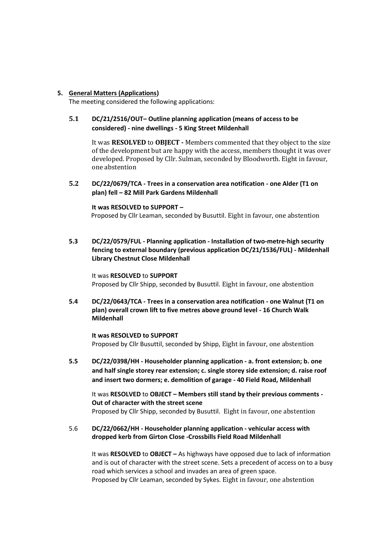#### **5. General Matters (Applications)**

The meeting considered the following applications:

# **5.1 DC/21/2516/OUT– Outline planning application (means of access to be considered) - nine dwellings - 5 King Street Mildenhall**

It was **RESOLVED** to **OBJECT -** Members commented that they object to the size of the development but are happy with the access, members thought it was over developed. Proposed by Cllr. Sulman, seconded by Bloodworth. Eight in favour, one abstention

## **5.2 DC/22/0679/TCA - Trees in a conservation area notification - one Alder (T1 on plan) fell – 82 Mill Park Gardens Mildenhall**

#### **It was RESOLVED to SUPPORT –**

Proposed by Cllr Leaman, seconded by Busuttil. Eight in favour, one abstention

**5.3 DC/22/0579/FUL - Planning application - Installation of two-metre-high security fencing to external boundary (previous application DC/21/1536/FUL) - Mildenhall Library Chestnut Close Mildenhall**

It was **RESOLVED** to **SUPPORT** Proposed by Cllr Shipp, seconded by Busuttil. Eight in favour, one abstention

**5.4 DC/22/0643/TCA - Trees in a conservation area notification - one Walnut (T1 on plan) overall crown lift to five metres above ground level - 16 Church Walk Mildenhall**

#### **It was RESOLVED to SUPPORT**

Proposed by Cllr Busuttil, seconded by Shipp, Eight in favour, one abstention

**5.5 DC/22/0398/HH - Householder planning application - a. front extension; b. one and half single storey rear extension; c. single storey side extension; d. raise roof and insert two dormers; e. demolition of garage - 40 Field Road, Mildenhall**

It was **RESOLVED** to **OBJECT – Members still stand by their previous comments - Out of character with the street scene** Proposed by Cllr Shipp, seconded by Busuttil. Eight in favour, one abstention

### 5.6 **DC/22/0662/HH - Householder planning application - vehicular access with dropped kerb from Girton Close -Crossbills Field Road Mildenhall**

It was **RESOLVED** to **OBJECT –** As highways have opposed due to lack of information and is out of character with the street scene. Sets a precedent of access on to a busy road which services a school and invades an area of green space. Proposed by Cllr Leaman, seconded by Sykes. Eight in favour, one abstention